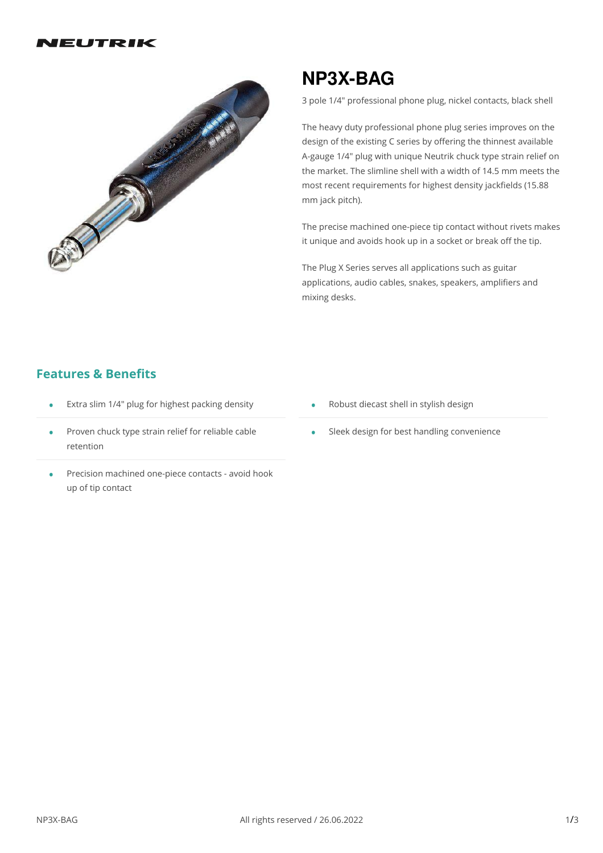

# **NP3X-BAG**

3 pole 1/4" professional phone plug, nickel contacts, black shell

The heavy duty professional phone plug series improves on the design of the existing C series by offering the thinnest available A-gauge 1/4" plug with unique Neutrik chuck type strain relief on the market. The slimline shell with a width of 14.5 mm meets the most recent requirements for highest density jackfields (15.88 mm jack pitch).

The precise machined one-piece tip contact without rivets makes it unique and avoids hook up in a socket or break off the tip.

The Plug X Series serves all applications such as guitar applications, audio cables, snakes, speakers, amplifiers and mixing desks.

## **Features & Benefits**

- **Extra slim 1/4" plug for highest packing density**
- Proven chuck type strain relief for reliable cable retention •
- Precision machined one-piece contacts avoid hook • Precision machin<br>up of tip contact
- Robust diecast shell in stylish design •
- Sleek design for best handling convenience •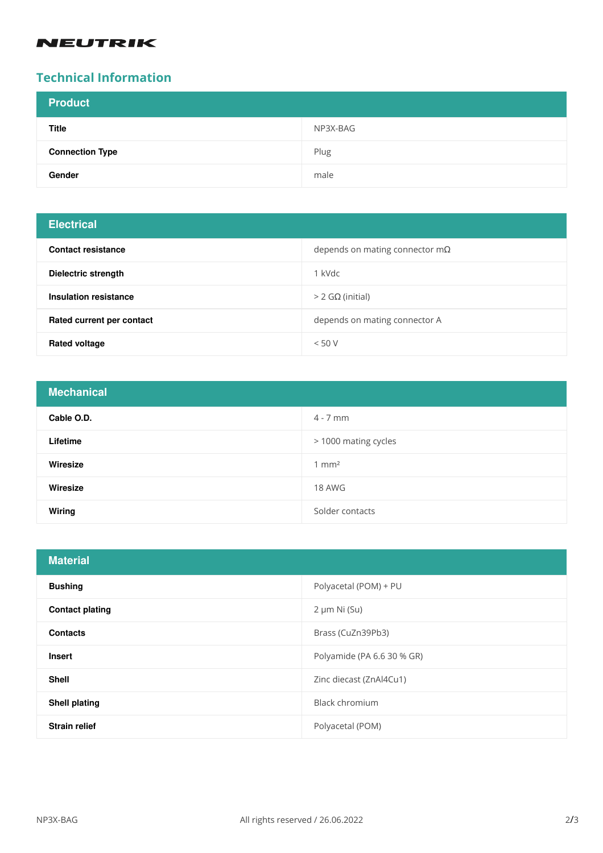## **NEUTRIK**

# **Technical Information**

| <b>Product</b>         |          |
|------------------------|----------|
| <b>Title</b>           | NP3X-BAG |
| <b>Connection Type</b> | Plug     |
| Gender                 | male     |

# **Electrical**

| <b>Contact resistance</b> | depends on mating connector $m\Omega$ |
|---------------------------|---------------------------------------|
| Dielectric strength       | 1 kVdc                                |
| Insulation resistance     | $>$ 2 GΩ (initial)                    |
| Rated current per contact | depends on mating connector A         |
| <b>Rated voltage</b>      | < 50 V                                |

| <b>Mechanical</b> |                      |
|-------------------|----------------------|
| Cable O.D.        | $4 - 7$ mm           |
| Lifetime          | > 1000 mating cycles |
| Wiresize          | $1 \text{ mm}^2$     |
| Wiresize          | 18 AWG               |
| Wiring            | Solder contacts      |

| <b>Material</b>        |                            |
|------------------------|----------------------------|
| <b>Bushing</b>         | Polyacetal (POM) + PU      |
| <b>Contact plating</b> | $2 \mu m$ Ni $(Su)$        |
| <b>Contacts</b>        | Brass (CuZn39Pb3)          |
| <b>Insert</b>          | Polyamide (PA 6.6 30 % GR) |
| <b>Shell</b>           | Zinc diecast (ZnAl4Cu1)    |
| <b>Shell plating</b>   | <b>Black chromium</b>      |
| <b>Strain relief</b>   | Polyacetal (POM)           |